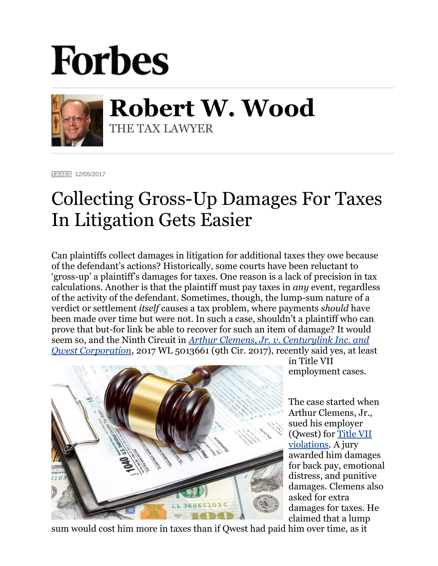## **Forbes**



**Robert W. Wood** THE TAX LAWYER

**[TAXES](https://www.forbes.com/taxes)** 12/05/2017

## Collecting Gross-Up Damages For Taxes In Litigation Gets Easier

Can plaintiffs collect damages in litigation for additional taxes they owe because of the defendant's actions? Historically, some courts have been reluctant to 'gross-up' a plaintiff's damages for taxes. One reason is a lack of precision in tax calculations. Another is that the plaintiff must pay taxes in *any* event, regardless of the activity of the defendant. Sometimes, though, the lump-sum nature of a verdict or settlement *itself* causes a tax problem, where payments *should* have been made over time but were not. In such a case, shouldn't a plaintiff who can prove that but-for link be able to recover for such an item of damage? It would seem so, and the Ninth Circuit in *Arthur [Clemens, Jr. v. Centurylink Inc. and](http://caselaw.findlaw.com/us-9th-circuit/1879042.html)  [Qwest Corporation](http://caselaw.findlaw.com/us-9th-circuit/1879042.html)*, 2017 WL 5013661 (9th Cir. 2017), recently said yes, at least



in Title VII employment cases.

The case started when Arthur Clemens, Jr., sued his employer (Qwest) for [Title VII](https://www.eeoc.gov/laws/statutes/titlevii.cfm)  [violations.](https://www.eeoc.gov/laws/statutes/titlevii.cfm) A jury awarded him damages for back pay, emotional distress, and punitive damages. Clemens also asked for extra damages for taxes. He claimed that a lump

sum would cost him more in taxes than if Qwest had paid him over time, as it